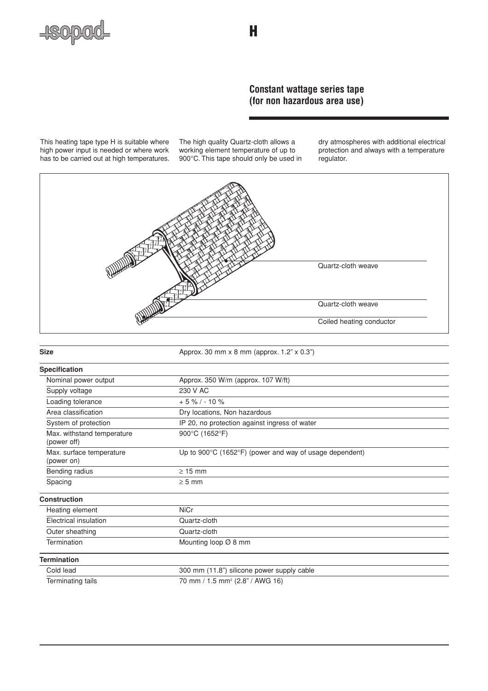

# **Constant wattage series tape (for non hazardous area use)**

This heating tape type H is suitable where high power input is needed or where work has to be carried out at high temperatures. The high quality Quartz-cloth allows a working element temperature of up to 900°C. This tape should only be used in

dry atmospheres with additional electrical protection and always with a temperature regulator.



| <b>Size</b>                               | Approx. 30 mm x 8 mm (approx. 1.2" x 0.3")                                   |  |  |
|-------------------------------------------|------------------------------------------------------------------------------|--|--|
| <b>Specification</b>                      |                                                                              |  |  |
| Nominal power output                      | Approx. 350 W/m (approx. 107 W/ft)                                           |  |  |
| Supply voltage                            | 230 V AC                                                                     |  |  |
| Loading tolerance                         | $+5\%$ / - 10 %                                                              |  |  |
| Area classification                       | Dry locations, Non hazardous                                                 |  |  |
| System of protection                      | IP 20, no protection against ingress of water                                |  |  |
| Max. withstand temperature<br>(power off) | 900°C (1652°F)                                                               |  |  |
| Max. surface temperature<br>(power on)    | Up to $900^{\circ}$ C (1652 $^{\circ}$ F) (power and way of usage dependent) |  |  |
| Bending radius                            | $\geq$ 15 mm                                                                 |  |  |
| Spacing                                   | $\geq 5$ mm                                                                  |  |  |
| Construction                              |                                                                              |  |  |
| Heating element                           | <b>NiCr</b>                                                                  |  |  |
| Electrical insulation                     | Quartz-cloth                                                                 |  |  |
| Outer sheathing                           | Quartz-cloth                                                                 |  |  |
| Termination                               | Mounting loop Ø 8 mm                                                         |  |  |
| <b>Termination</b>                        |                                                                              |  |  |
| Cold lead                                 | 300 mm (11.8") silicone power supply cable                                   |  |  |
| Terminating tails                         | 70 mm / 1.5 mm <sup>2</sup> (2.8" / AWG 16)                                  |  |  |